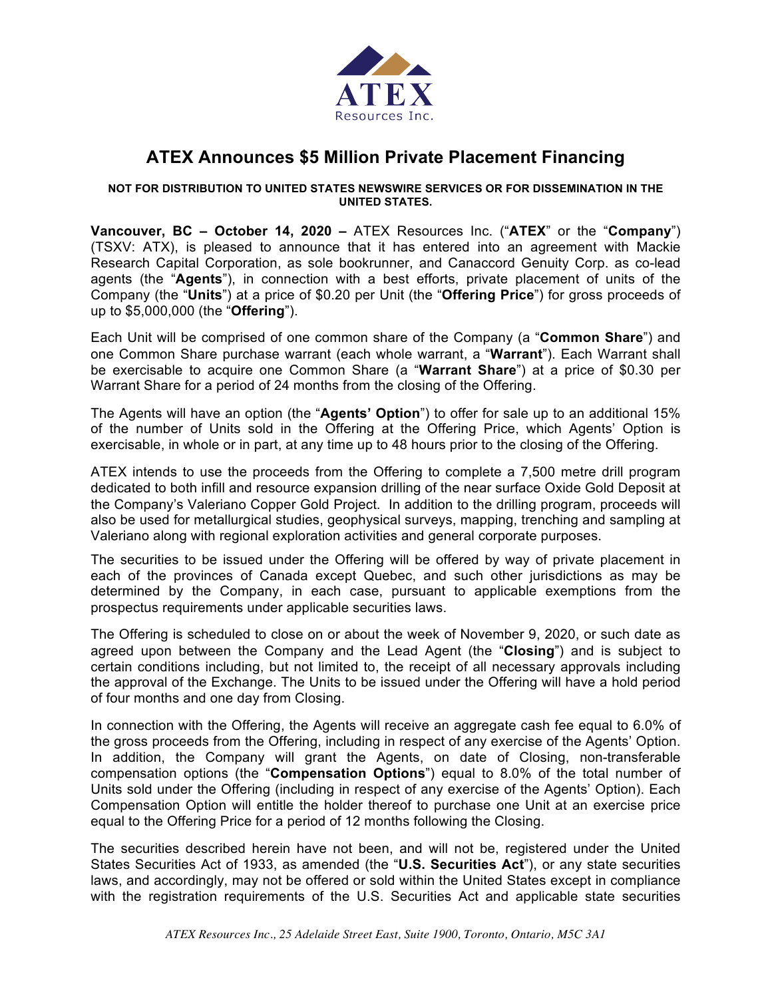

# **ATEX Announces \$5 Million Private Placement Financing**

## **NOT FOR DISTRIBUTION TO UNITED STATES NEWSWIRE SERVICES OR FOR DISSEMINATION IN THE UNITED STATES.**

**Vancouver, BC – October 14, 2020 –** ATEX Resources Inc. ("**ATEX**" or the "**Company**") (TSXV: ATX), is pleased to announce that it has entered into an agreement with Mackie Research Capital Corporation, as sole bookrunner, and Canaccord Genuity Corp. as co-lead agents (the "**Agents**"), in connection with a best efforts, private placement of units of the Company (the "**Units**") at a price of \$0.20 per Unit (the "**Offering Price**") for gross proceeds of up to \$5,000,000 (the "**Offering**").

Each Unit will be comprised of one common share of the Company (a "**Common Share**") and one Common Share purchase warrant (each whole warrant, a "**Warrant**"). Each Warrant shall be exercisable to acquire one Common Share (a "**Warrant Share**") at a price of \$0.30 per Warrant Share for a period of 24 months from the closing of the Offering.

The Agents will have an option (the "**Agents' Option**") to offer for sale up to an additional 15% of the number of Units sold in the Offering at the Offering Price, which Agents' Option is exercisable, in whole or in part, at any time up to 48 hours prior to the closing of the Offering.

ATEX intends to use the proceeds from the Offering to complete a 7,500 metre drill program dedicated to both infill and resource expansion drilling of the near surface Oxide Gold Deposit at the Company's Valeriano Copper Gold Project. In addition to the drilling program, proceeds will also be used for metallurgical studies, geophysical surveys, mapping, trenching and sampling at Valeriano along with regional exploration activities and general corporate purposes.

The securities to be issued under the Offering will be offered by way of private placement in each of the provinces of Canada except Quebec, and such other jurisdictions as may be determined by the Company, in each case, pursuant to applicable exemptions from the prospectus requirements under applicable securities laws.

The Offering is scheduled to close on or about the week of November 9, 2020, or such date as agreed upon between the Company and the Lead Agent (the "**Closing**") and is subject to certain conditions including, but not limited to, the receipt of all necessary approvals including the approval of the Exchange. The Units to be issued under the Offering will have a hold period of four months and one day from Closing.

In connection with the Offering, the Agents will receive an aggregate cash fee equal to 6.0% of the gross proceeds from the Offering, including in respect of any exercise of the Agents' Option. In addition, the Company will grant the Agents, on date of Closing, non-transferable compensation options (the "**Compensation Options**") equal to 8.0% of the total number of Units sold under the Offering (including in respect of any exercise of the Agents' Option). Each Compensation Option will entitle the holder thereof to purchase one Unit at an exercise price equal to the Offering Price for a period of 12 months following the Closing.

The securities described herein have not been, and will not be, registered under the United States Securities Act of 1933, as amended (the "**U.S. Securities Act**"), or any state securities laws, and accordingly, may not be offered or sold within the United States except in compliance with the registration requirements of the U.S. Securities Act and applicable state securities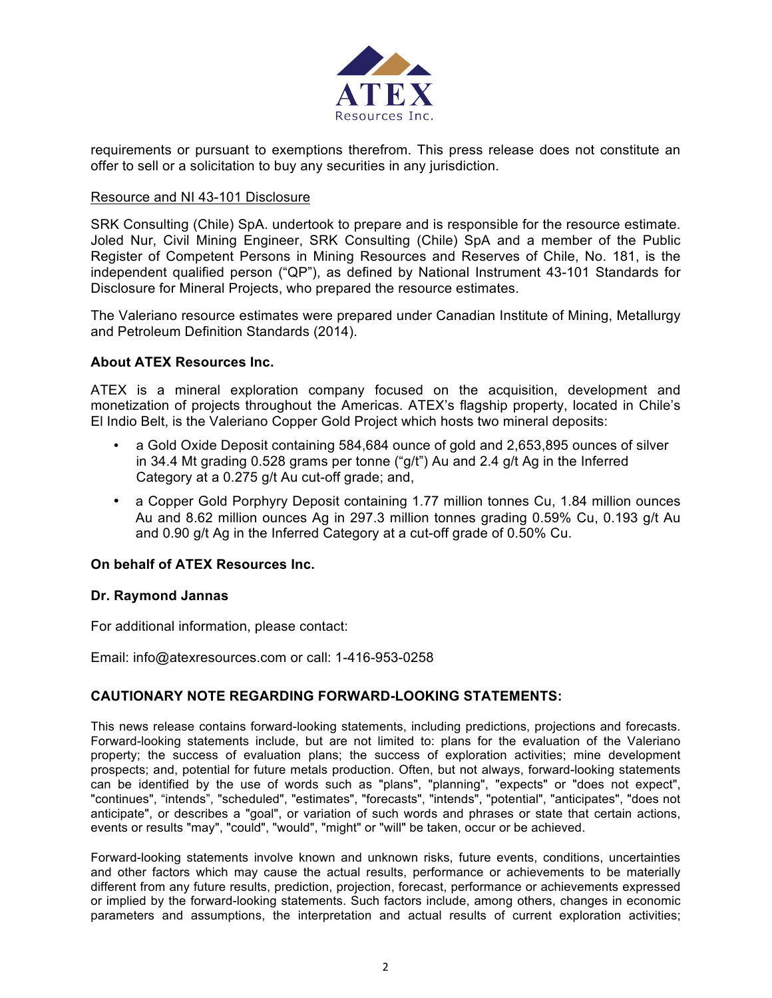

requirements or pursuant to exemptions therefrom. This press release does not constitute an offer to sell or a solicitation to buy any securities in any jurisdiction.

## Resource and NI 43-101 Disclosure

SRK Consulting (Chile) SpA. undertook to prepare and is responsible for the resource estimate. Joled Nur, Civil Mining Engineer, SRK Consulting (Chile) SpA and a member of the Public Register of Competent Persons in Mining Resources and Reserves of Chile, No. 181, is the independent qualified person ("QP"), as defined by National Instrument 43-101 Standards for Disclosure for Mineral Projects, who prepared the resource estimates.

The Valeriano resource estimates were prepared under Canadian Institute of Mining, Metallurgy and Petroleum Definition Standards (2014).

### **About ATEX Resources Inc.**

ATEX is a mineral exploration company focused on the acquisition, development and monetization of projects throughout the Americas. ATEX's flagship property, located in Chile's El Indio Belt, is the Valeriano Copper Gold Project which hosts two mineral deposits:

- a Gold Oxide Deposit containing 584,684 ounce of gold and 2,653,895 ounces of silver in 34.4 Mt grading 0.528 grams per tonne ("g/t") Au and 2.4 g/t Ag in the Inferred Category at a 0.275 g/t Au cut-off grade; and,
- a Copper Gold Porphyry Deposit containing 1.77 million tonnes Cu, 1.84 million ounces Au and 8.62 million ounces Ag in 297.3 million tonnes grading 0.59% Cu, 0.193 g/t Au and 0.90 g/t Ag in the Inferred Category at a cut-off grade of 0.50% Cu.

# **On behalf of ATEX Resources Inc.**

#### **Dr. Raymond Jannas**

For additional information, please contact:

Email: info@atexresources.com or call: 1-416-953-0258

# **CAUTIONARY NOTE REGARDING FORWARD-LOOKING STATEMENTS:**

This news release contains forward-looking statements, including predictions, projections and forecasts. Forward-looking statements include, but are not limited to: plans for the evaluation of the Valeriano property; the success of evaluation plans; the success of exploration activities; mine development prospects; and, potential for future metals production. Often, but not always, forward-looking statements can be identified by the use of words such as "plans", "planning", "expects" or "does not expect", "continues", "intends", "scheduled", "estimates", "forecasts", "intends", "potential", "anticipates", "does not anticipate", or describes a "goal", or variation of such words and phrases or state that certain actions, events or results "may", "could", "would", "might" or "will" be taken, occur or be achieved.

Forward-looking statements involve known and unknown risks, future events, conditions, uncertainties and other factors which may cause the actual results, performance or achievements to be materially different from any future results, prediction, projection, forecast, performance or achievements expressed or implied by the forward-looking statements. Such factors include, among others, changes in economic parameters and assumptions, the interpretation and actual results of current exploration activities;